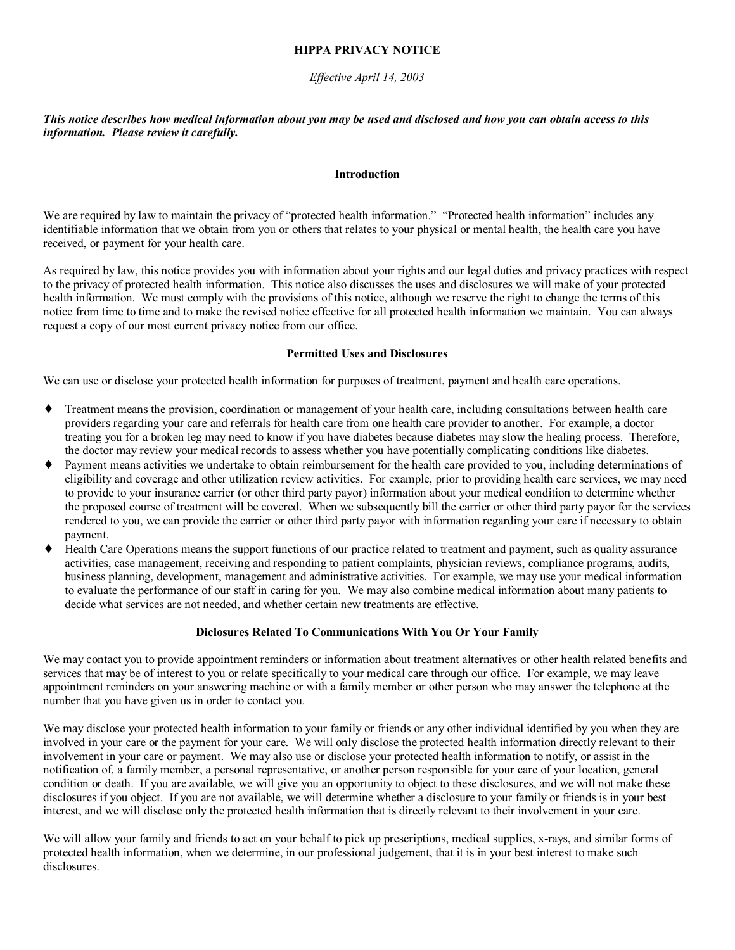## **HIPPA PRIVACY NOTICE**

## *Effective April 14, 2003*

## *This notice describes how medical information about you may be used and disclosed and how you can obtain access to this information. Please review it carefully.*

#### **Introduction**

We are required by law to maintain the privacy of "protected health information." "Protected health information" includes any identifiable information that we obtain from you or others that relates to your physical or mental health, the health care you have received, or payment for your health care.

As required by law, this notice provides you with information about your rights and our legal duties and privacy practices with respect to the privacy of protected health information. This notice also discusses the uses and disclosures we will make of your protected health information. We must comply with the provisions of this notice, although we reserve the right to change the terms of this notice from time to time and to make the revised notice effective for all protected health information we maintain. You can always request a copy of our most current privacy notice from our office.

## **Permitted Uses and Disclosures**

We can use or disclose your protected health information for purposes of treatment, payment and health care operations.

- ♦ Treatment means the provision, coordination or management of your health care, including consultations between health care providers regarding your care and referrals for health care from one health care provider to another. For example, a doctor treating you for a broken leg may need to know if you have diabetes because diabetes may slow the healing process. Therefore, the doctor may review your medical records to assess whether you have potentially complicating conditions like diabetes.
- Payment means activities we undertake to obtain reimbursement for the health care provided to you, including determinations of eligibility and coverage and other utilization review activities. For example, prior to providing health care services, we may need to provide to your insurance carrier (or other third party payor) information about your medical condition to determine whether the proposed course of treatment will be covered. When we subsequently bill the carrier or other third party payor for the services rendered to you, we can provide the carrier or other third party payor with information regarding your care if necessary to obtain payment.
- ♦ Health Care Operations means the support functions of our practice related to treatment and payment, such as quality assurance activities, case management, receiving and responding to patient complaints, physician reviews, compliance programs, audits, business planning, development, management and administrative activities. For example, we may use your medical information to evaluate the performance of our staff in caring for you. We may also combine medical information about many patients to decide what services are not needed, and whether certain new treatments are effective.

#### **Diclosures Related To Communications With You Or Your Family**

We may contact you to provide appointment reminders or information about treatment alternatives or other health related benefits and services that may be of interest to you or relate specifically to your medical care through our office. For example, we may leave appointment reminders on your answering machine or with a family member or other person who may answer the telephone at the number that you have given us in order to contact you.

We may disclose your protected health information to your family or friends or any other individual identified by you when they are involved in your care or the payment for your care. We will only disclose the protected health information directly relevant to their involvement in your care or payment. We may also use or disclose your protected health information to notify, or assist in the notification of, a family member, a personal representative, or another person responsible for your care of your location, general condition or death. If you are available, we will give you an opportunity to object to these disclosures, and we will not make these disclosures if you object. If you are not available, we will determine whether a disclosure to your family or friends is in your best interest, and we will disclose only the protected health information that is directly relevant to their involvement in your care.

We will allow your family and friends to act on your behalf to pick up prescriptions, medical supplies, x-rays, and similar forms of protected health information, when we determine, in our professional judgement, that it is in your best interest to make such disclosures.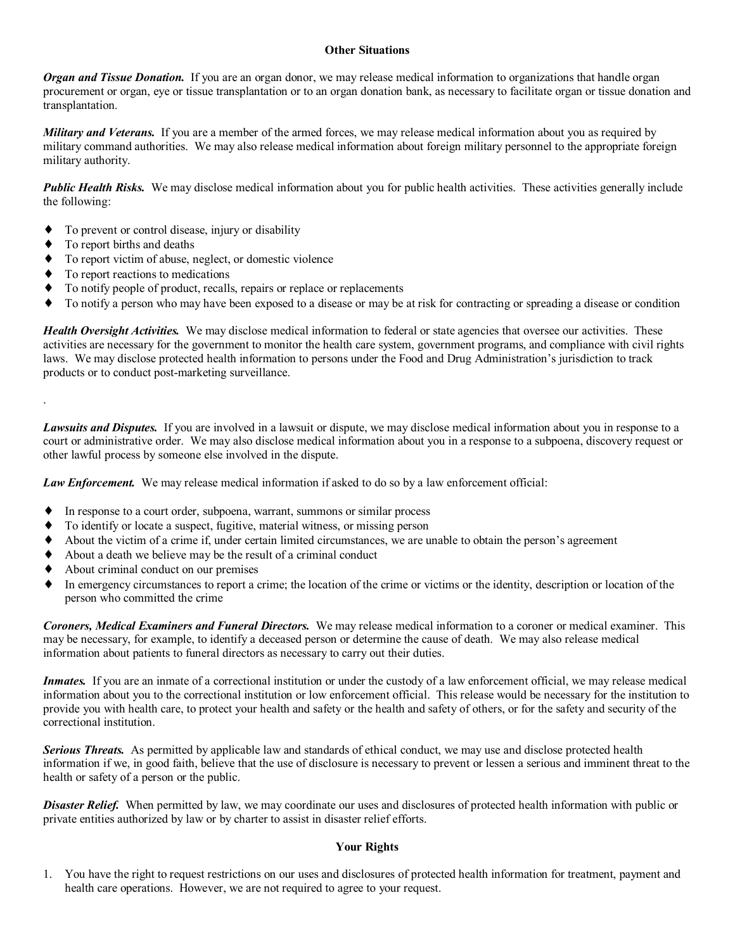### **Other Situations**

*Organ and Tissue Donation.* If you are an organ donor, we may release medical information to organizations that handle organ procurement or organ, eye or tissue transplantation or to an organ donation bank, as necessary to facilitate organ or tissue donation and transplantation.

*Military and Veterans.* If you are a member of the armed forces, we may release medical information about you as required by military command authorities. We may also release medical information about foreign military personnel to the appropriate foreign military authority.

*Public Health Risks.* We may disclose medical information about you for public health activities. These activities generally include the following:

- To prevent or control disease, injury or disability
- To report births and deaths

.

- To report victim of abuse, neglect, or domestic violence
- To report reactions to medications
- To notify people of product, recalls, repairs or replace or replacements
- To notify a person who may have been exposed to a disease or may be at risk for contracting or spreading a disease or condition

*Health Oversight Activities.* We may disclose medical information to federal or state agencies that oversee our activities. These activities are necessary for the government to monitor the health care system, government programs, and compliance with civil rights laws. We may disclose protected health information to persons under the Food and Drug Administration's jurisdiction to track products or to conduct post-marketing surveillance.

*Lawsuits and Disputes.* If you are involved in a lawsuit or dispute, we may disclose medical information about you in response to a court or administrative order. We may also disclose medical information about you in a response to a subpoena, discovery request or other lawful process by someone else involved in the dispute.

*Law Enforcement.* We may release medical information if asked to do so by a law enforcement official:

- In response to a court order, subpoena, warrant, summons or similar process
- To identify or locate a suspect, fugitive, material witness, or missing person
- About the victim of a crime if, under certain limited circumstances, we are unable to obtain the person's agreement
- About a death we believe may be the result of a criminal conduct
- About criminal conduct on our premises
- In emergency circumstances to report a crime; the location of the crime or victims or the identity, description or location of the person who committed the crime

*Coroners, Medical Examiners and Funeral Directors.* We may release medical information to a coroner or medical examiner. This may be necessary, for example, to identify a deceased person or determine the cause of death. We may also release medical information about patients to funeral directors as necessary to carry out their duties.

*Inmates.* If you are an inmate of a correctional institution or under the custody of a law enforcement official, we may release medical information about you to the correctional institution or low enforcement official. This release would be necessary for the institution to provide you with health care, to protect your health and safety or the health and safety of others, or for the safety and security of the correctional institution.

*Serious Threats.* As permitted by applicable law and standards of ethical conduct, we may use and disclose protected health information if we, in good faith, believe that the use of disclosure is necessary to prevent or lessen a serious and imminent threat to the health or safety of a person or the public.

**Disaster Relief.** When permitted by law, we may coordinate our uses and disclosures of protected health information with public or private entities authorized by law or by charter to assist in disaster relief efforts.

## **Your Rights**

1. You have the right to request restrictions on our uses and disclosures of protected health information for treatment, payment and health care operations. However, we are not required to agree to your request.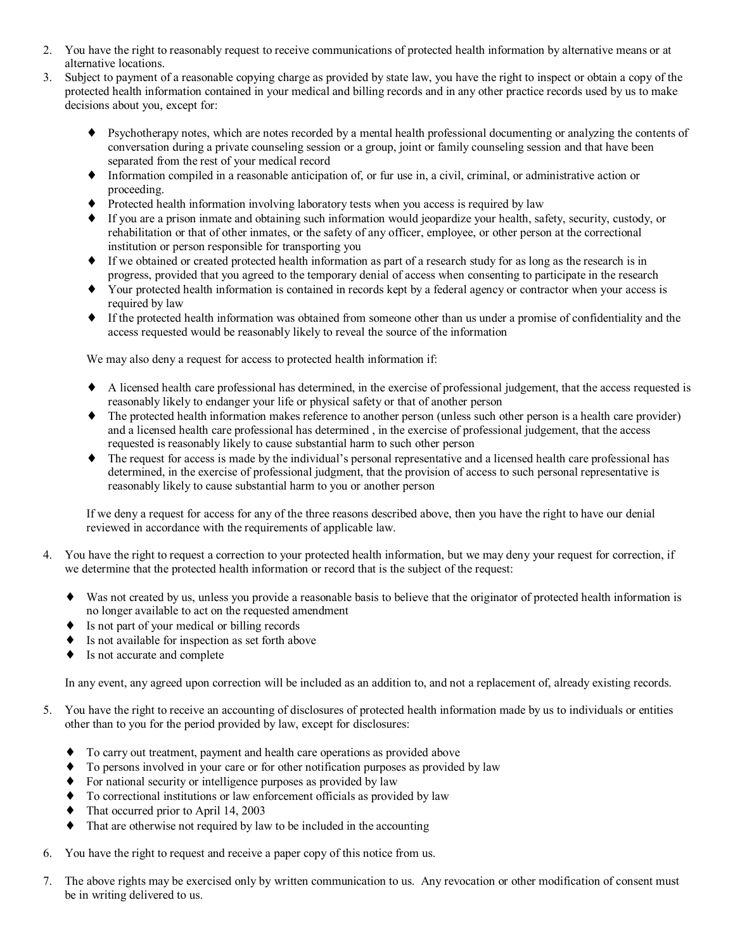- 2. You have the right to reasonably request to receive communications of protected health information by alternative means or at alternative locations.
- 3. Subject to payment of a reasonable copying charge as provided by state law, you have the right to inspect or obtain a copy of the protected health information contained in your medical and billing records and in any other practice records used by us to make decisions about you, except for:
	- ♦ Psychotherapy notes, which are notes recorded by a mental health professional documenting or analyzing the contents of conversation during a private counseling session or a group, joint or family counseling session and that have been separated from the rest of your medical record
	- ♦ Information compiled in a reasonable anticipation of, or fur use in, a civil, criminal, or administrative action or proceeding.
	- Protected health information involving laboratory tests when you access is required by law
	- ♦ If you are a prison inmate and obtaining such information would jeopardize your health, safety, security, custody, or rehabilitation or that of other inmates, or the safety of any officer, employee, or other person at the correctional institution or person responsible for transporting you
	- ♦ If we obtained or created protected health information as part of a research study for as long as the research is in progress, provided that you agreed to the temporary denial of access when consenting to participate in the research
	- ♦ Your protected health information is contained in records kept by a federal agency or contractor when your access is required by law
	- ♦ If the protected health information was obtained from someone other than us under a promise of confidentiality and the access requested would be reasonably likely to reveal the source of the information

We may also deny a request for access to protected health information if:

- ♦ A licensed health care professional has determined, in the exercise of professional judgement, that the access requested is reasonably likely to endanger your life or physical safety or that of another person
- ♦ The protected health information makes reference to another person (unless such other person is a health care provider) and a licensed health care professional has determined , in the exercise of professional judgement, that the access requested is reasonably likely to cause substantial harm to such other person
- The request for access is made by the individual's personal representative and a licensed health care professional has determined, in the exercise of professional judgment, that the provision of access to such personal representative is reasonably likely to cause substantial harm to you or another person

If we deny a request for access for any of the three reasons described above, then you have the right to have our denial reviewed in accordance with the requirements of applicable law.

- 4. You have the right to request a correction to your protected health information, but we may deny your request for correction, if we determine that the protected health information or record that is the subject of the request:
	- Was not created by us, unless you provide a reasonable basis to believe that the originator of protected health information is no longer available to act on the requested amendment
	- ♦ Is not part of your medical or billing records
	- Is not available for inspection as set forth above
	- Is not accurate and complete

In any event, any agreed upon correction will be included as an addition to, and not a replacement of, already existing records.

- 5. You have the right to receive an accounting of disclosures of protected health information made by us to individuals or entities other than to you for the period provided by law, except for disclosures:
	- ♦ To carry out treatment, payment and health care operations as provided above
	- To persons involved in your care or for other notification purposes as provided by law
	- For national security or intelligence purposes as provided by law
	- ♦ To correctional institutions or law enforcement officials as provided by law
	- That occurred prior to April 14, 2003
	- That are otherwise not required by law to be included in the accounting
- 6. You have the right to request and receive a paper copy of this notice from us.
- 7. The above rights may be exercised only by written communication to us. Any revocation or other modification of consent must be in writing delivered to us.